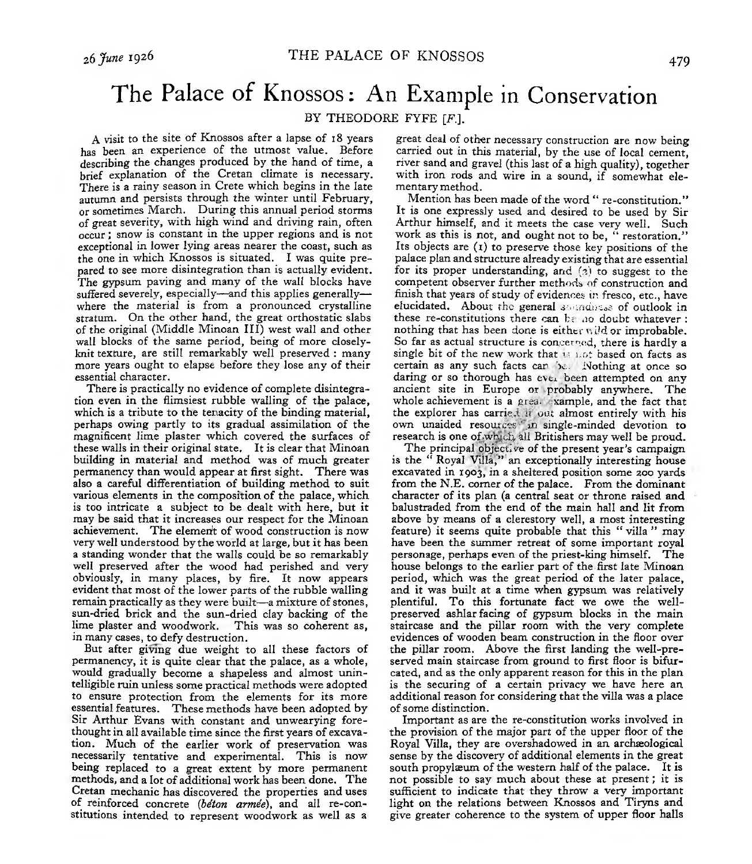## The Palace of Knossos: An Example in Conservation

## BY THEODORE FYFE [F].

A visit to the site of Knossos after a lapse of 18 years has been an experience of the utmost value. Before describing the changes produced by the hand of time, a brief explanation of the Cretan climate is necessary. There is a rainy season in Crete which begins in the late autumn and persists through the winter until February, or sometimes March. During this annual period storms of great severity, with high wind and driving rain, often occur ; snow is constant in the upper regions and is not exceptional in lower lying areas nearer the coast, such as the one in which Knossos is situated. I was quite prepared to see more disintegration than is actually evident. The gypsum paving and many of the wall blocks have suffered severely, especially— and this applies generally where the material is from a pronounced crystalline stratum. On the other hand, the great orthostatic slabs of the original (Middle Minoan III) west wall and other wall blocks of the same period, being of more closelyknit texture, are still remarkably well preserved : many more years ought to elapse before they lose any of their essential character.

There is practically no evidence of complete disintegration even in the flimsiest rubble walling of the palace, which is a tribute to the tenacity of the binding material, perhaps owing partly to its gradual assimilation of the magnificent lime plaster which covered the surfaces of these walls in their original state. It is clear that Minoan building in material and method was of much greater permanency than would appear at first sight. There was also a careful differentiation of building method to suit various elements in the composition of the palace, which is too intricate a subject to be dealt with here, but it may be said that it increases our respect for the Minoan achievement. The demerit of wood construction is now very well understood by the world at large, but it has been a standing wonder that the walls could be so remarkably well preserved after the wood had perished and very obviously, in many places, by fire. It now appears evident that most of the lower parts of the rubble walling remain practically as they were built—a mixture of stones, sun-dried brick and the sun-dried clay backing of the lime plaster and woodwork. This was so coherent as, lime plaster and woodwork. in many cases, to defy destruction.

But after giving due weight to all these factors of permanency, it is quite clear that the palace, as a whole, would gradually become a shapeless and almost unintelligible ruin unless some practical methods were adopted to ensure protection from the elements for its more essential features. These methods have been adopted by Sir Arthur Evans with constant and unwearying forethought in all available time since the first years of excavation. Much of the earlier work of preservation was necessarily tentative and experimental. This is now being replaced to a great extent by more permanent methods, and a lot of additional work has been done. The Cretan mechanic has discovered the properties and uses of reinforced concrete (*béton armée),* and all re-constitutions intended to represent woodwork as well as a

great deal of other necessary construction are now being carried out in this material, by the use of local cement, river sand and gravel (this last of a high quality), together with iron rods and wire in a sound, if somewhat elementary method.

Mention has been made of the word " re-constitution." It is one expressly used and desired to be used by Sir Arthur himself, and it meets the case very well. Such work as this is not, and ought not to be, " restoration." Its objects are  $(1)$  to preserve those key positions of the palace plan and structure already existing that are essential for its proper understanding, and (2) to suggest to the competent observer further methods of construction and finish that years of study of evidences in fresco, etc., have elucidated. About the general soundness of outlook in these re-constitutions there can be no doubt whatever : nothing that has been done is either wild or improbable. So far as actual structure is concerned, there is hardly a single bit of the new work that *u* not based on facts as certain as any such facts car be. Nothing at once so daring or so thorough has ever been attempted on any ancient site in Europe or probably anywhere. The whole achievement is a grea- xample, and the fact that the explorer has carried if out almost entirely with his own unaided resources in single-minded devotion to research is one of which, all Britishers may well be proud.

The principal objective of the present year's campaign is the *"* Royal Villa," an exceptionally interesting house excavated in 1903, in a sheltered position some 200 yards from the N.E. corner of the palace. From the dominant character of its plan (a central seat or throne raised and balustraded from the end of the main hall and lit from above by means of a clerestory well, a most interesting feature) it seems quite probable that this " villa " may have been the summer retreat of some important royal personage, perhaps even of the priest-king himself. The house belongs to the earlier part of the first late Minoan period, which was the great period of the later palace, and it was built at a time when gypsum was relatively plentiful. To this fortunate fact we owe the wellpreserved ashlar facing of gypsum blocks in the main staircase and the pillar room with the very complete evidences of wooden beam construction in the floor over the pillar room. Above the first landing the well-preserved main staircase from ground to first floor is bifurcated, and as the only apparent reason for this in the plan is the securing of a certain privacy we have here an additional reason for considering that the villa was a place of some distinction.

Important as are the re-constitution works involved in the provision of the major part of the upper floor of the Royal Villa, they are overshadowed in an archaeological sense by the discovery of additional elements in the great south propylæum of the western half of the palace. It is not possible to say much about these at present ; it is sufficient to indicate that they throw a very important light on the relations between Knossos and Tiryns and give greater coherence to the system of upper floor halls